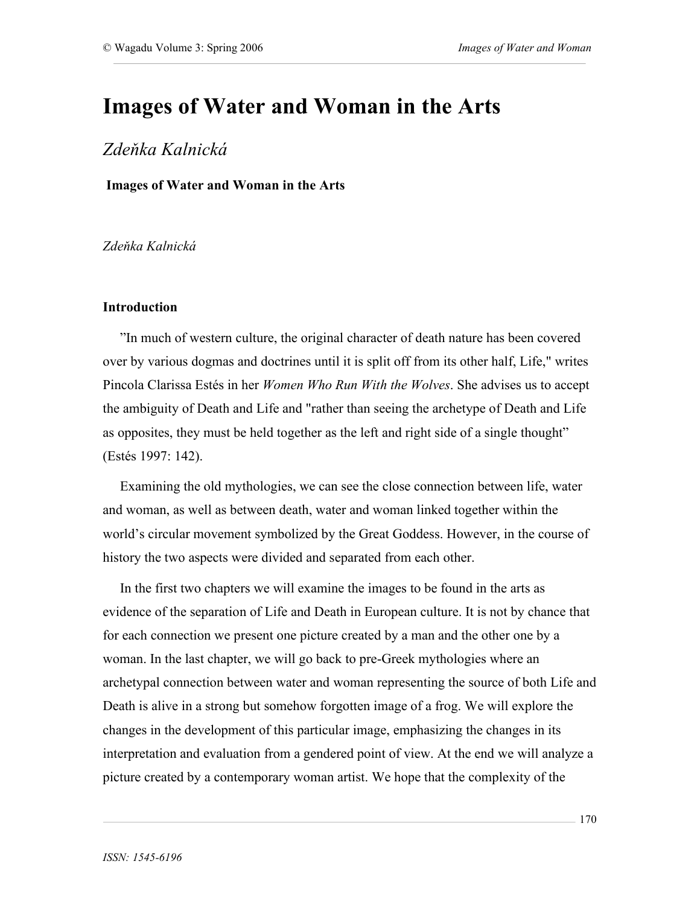# **Images of Water and Woman in the Arts**

# *Zdeňka Kalnická*

**Images of Water and Woman in the Arts** 

*Zdeňka Kalnická*

#### **Introduction**

 "In much of western culture, the original character of death nature has been covered over by various dogmas and doctrines until it is split off from its other half, Life," writes Pincola Clarissa Estés in her *Women Who Run With the Wolves*. She advises us to accept the ambiguity of Death and Life and "rather than seeing the archetype of Death and Life as opposites, they must be held together as the left and right side of a single thought" (Estés 1997: 142).

 Examining the old mythologies, we can see the close connection between life, water and woman, as well as between death, water and woman linked together within the world's circular movement symbolized by the Great Goddess. However, in the course of history the two aspects were divided and separated from each other.

 In the first two chapters we will examine the images to be found in the arts as evidence of the separation of Life and Death in European culture. It is not by chance that for each connection we present one picture created by a man and the other one by a woman. In the last chapter, we will go back to pre-Greek mythologies where an archetypal connection between water and woman representing the source of both Life and Death is alive in a strong but somehow forgotten image of a frog. We will explore the changes in the development of this particular image, emphasizing the changes in its interpretation and evaluation from a gendered point of view. At the end we will analyze a picture created by a contemporary woman artist. We hope that the complexity of the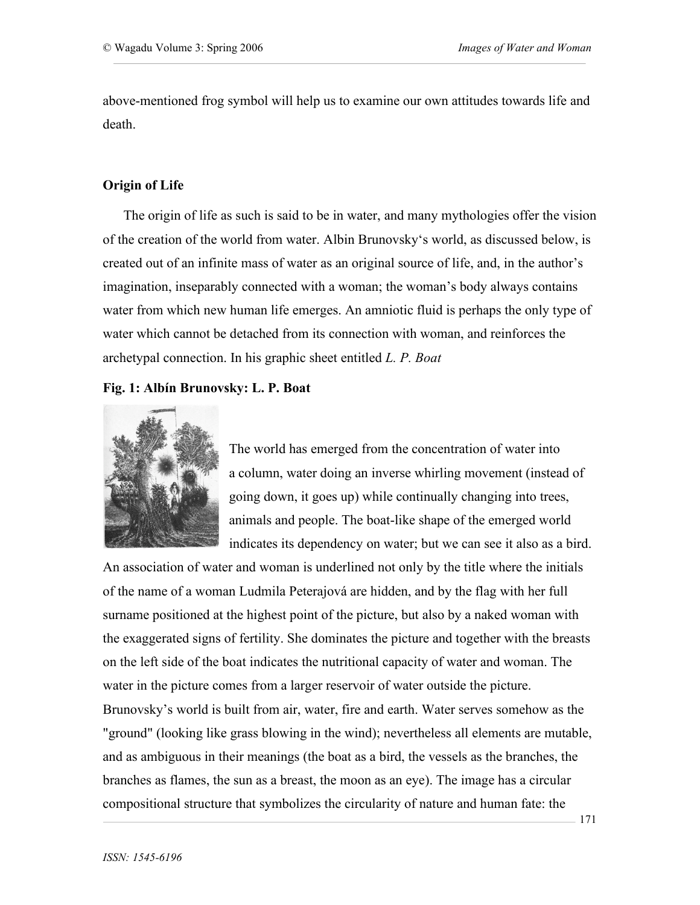above-mentioned frog symbol will help us to examine our own attitudes towards life and death.

#### **Origin of Life**

 The origin of life as such is said to be in water, and many mythologies offer the vision of the creation of the world from water. Albin Brunovsky's world, as discussed below, is created out of an infinite mass of water as an original source of life, and, in the author's imagination, inseparably connected with a woman; the woman's body always contains water from which new human life emerges. An amniotic fluid is perhaps the only type of water which cannot be detached from its connection with woman, and reinforces the archetypal connection. In his graphic sheet entitled *L. P. Boat* 

#### **Fig. 1: Albín Brunovsky: L. P. Boat**



The world has emerged from the concentration of water into a column, water doing an inverse whirling movement (instead of going down, it goes up) while continually changing into trees, animals and people. The boat-like shape of the emerged world indicates its dependency on water; but we can see it also as a bird.

An association of water and woman is underlined not only by the title where the initials of the name of a woman Ludmila Peterajová are hidden, and by the flag with her full surname positioned at the highest point of the picture, but also by a naked woman with the exaggerated signs of fertility. She dominates the picture and together with the breasts on the left side of the boat indicates the nutritional capacity of water and woman. The water in the picture comes from a larger reservoir of water outside the picture. Brunovsky's world is built from air, water, fire and earth. Water serves somehow as the "ground" (looking like grass blowing in the wind); nevertheless all elements are mutable, and as ambiguous in their meanings (the boat as a bird, the vessels as the branches, the branches as flames, the sun as a breast, the moon as an eye). The image has a circular compositional structure that symbolizes the circularity of nature and human fate: the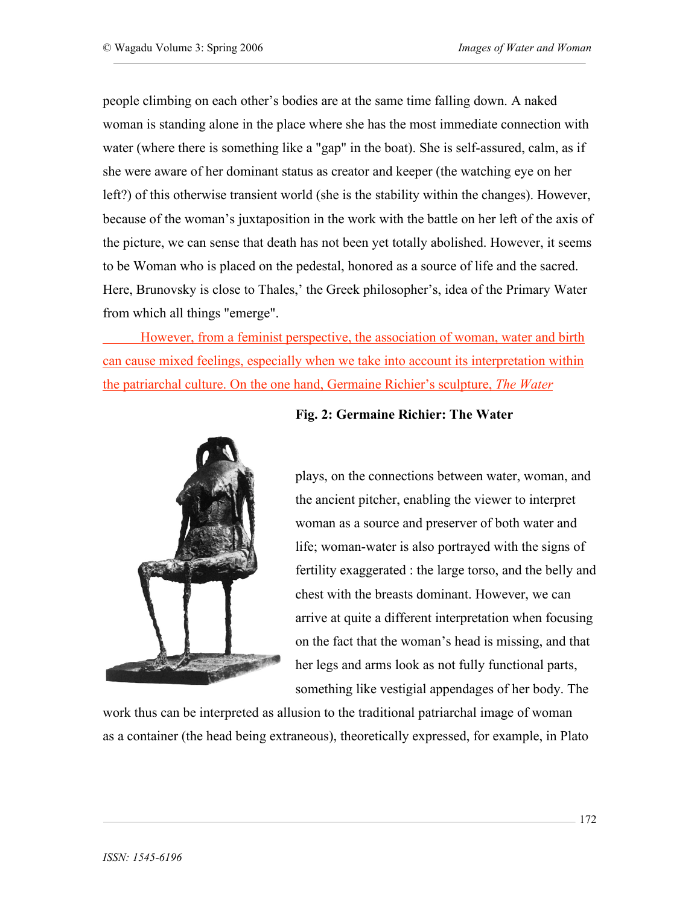people climbing on each other's bodies are at the same time falling down. A naked woman is standing alone in the place where she has the most immediate connection with water (where there is something like a "gap" in the boat). She is self-assured, calm, as if she were aware of her dominant status as creator and keeper (the watching eye on her left?) of this otherwise transient world (she is the stability within the changes). However, because of the woman's juxtaposition in the work with the battle on her left of the axis of the picture, we can sense that death has not been yet totally abolished. However, it seems to be Woman who is placed on the pedestal, honored as a source of life and the sacred. Here, Brunovsky is close to Thales,' the Greek philosopher's, idea of the Primary Water from which all things "emerge".

 However, from a feminist perspective, the association of woman, water and birth can cause mixed feelings, especially when we take into account its interpretation within the patriarchal culture. On the one hand, Germaine Richier's sculpture, *The Water*



**Fig. 2: Germaine Richier: The Water**

plays, on the connections between water, woman, and the ancient pitcher, enabling the viewer to interpret woman as a source and preserver of both water and life; woman-water is also portrayed with the signs of fertility exaggerated : the large torso, and the belly and chest with the breasts dominant. However, we can arrive at quite a different interpretation when focusing on the fact that the woman's head is missing, and that her legs and arms look as not fully functional parts, something like vestigial appendages of her body. The

work thus can be interpreted as allusion to the traditional patriarchal image of woman as a container (the head being extraneous), theoretically expressed, for example, in Plato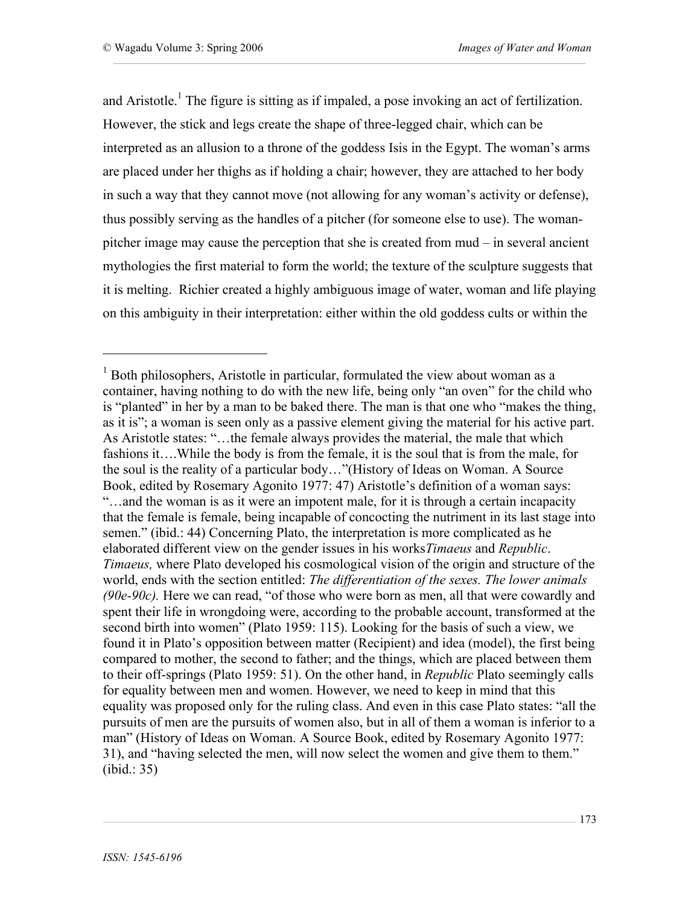and Aristotle.<sup>1</sup> The figure is sitting as if impaled, a pose invoking an act of fertilization. However, the stick and legs create the shape of three-legged chair, which can be interpreted as an allusion to a throne of the goddess Isis in the Egypt. The woman's arms are placed under her thighs as if holding a chair; however, they are attached to her body in such a way that they cannot move (not allowing for any woman's activity or defense), thus possibly serving as the handles of a pitcher (for someone else to use). The womanpitcher image may cause the perception that she is created from mud – in several ancient mythologies the first material to form the world; the texture of the sculpture suggests that it is melting. Richier created a highly ambiguous image of water, woman and life playing on this ambiguity in their interpretation: either within the old goddess cults or within the

<sup>&</sup>lt;sup>1</sup> Both philosophers, Aristotle in particular, formulated the view about woman as a container, having nothing to do with the new life, being only "an oven" for the child who is "planted" in her by a man to be baked there. The man is that one who "makes the thing, as it is"; a woman is seen only as a passive element giving the material for his active part. As Aristotle states: "…the female always provides the material, the male that which fashions it….While the body is from the female, it is the soul that is from the male, for the soul is the reality of a particular body…"(History of Ideas on Woman. A Source Book, edited by Rosemary Agonito 1977: 47) Aristotle's definition of a woman says: "…and the woman is as it were an impotent male, for it is through a certain incapacity that the female is female, being incapable of concocting the nutriment in its last stage into semen." (ibid.: 44) Concerning Plato, the interpretation is more complicated as he elaborated different view on the gender issues in his works*Timaeus* and *Republic*. *Timaeus,* where Plato developed his cosmological vision of the origin and structure of the world, ends with the section entitled: *The differentiation of the sexes. The lower animals (90e-90c).* Here we can read, "of those who were born as men, all that were cowardly and spent their life in wrongdoing were, according to the probable account, transformed at the second birth into women" (Plato 1959: 115). Looking for the basis of such a view, we found it in Plato's opposition between matter (Recipient) and idea (model), the first being compared to mother, the second to father; and the things, which are placed between them to their off-springs (Plato 1959: 51). On the other hand, in *Republic* Plato seemingly calls for equality between men and women. However, we need to keep in mind that this equality was proposed only for the ruling class. And even in this case Plato states: "all the pursuits of men are the pursuits of women also, but in all of them a woman is inferior to a man" (History of Ideas on Woman. A Source Book, edited by Rosemary Agonito 1977: 31), and "having selected the men, will now select the women and give them to them." (ibid.: 35)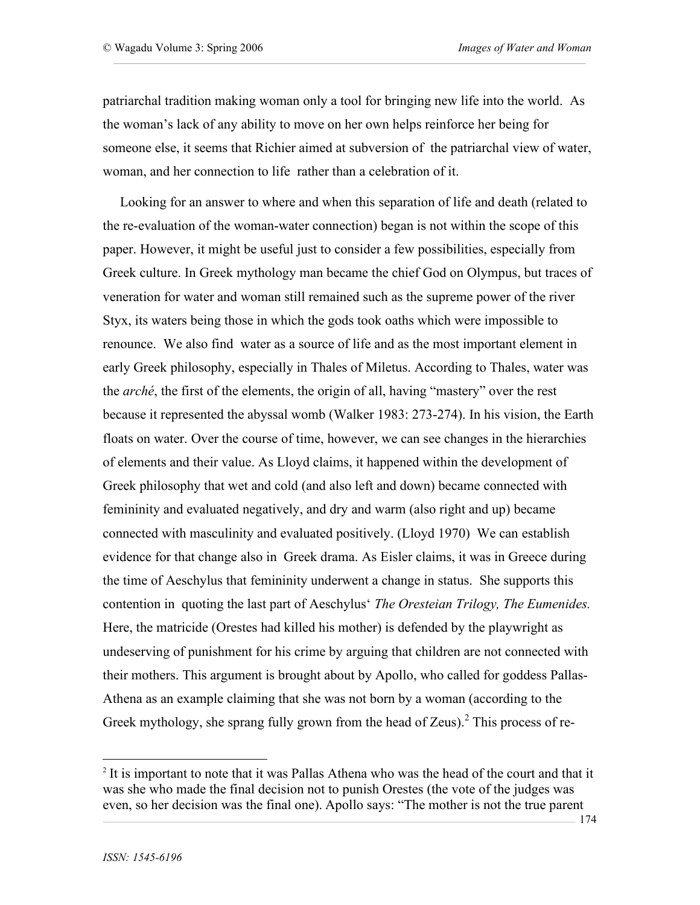patriarchal tradition making woman only a tool for bringing new life into the world. As the woman's lack of any ability to move on her own helps reinforce her being for someone else, it seems that Richier aimed at subversion of the patriarchal view of water, woman, and her connection to life rather than a celebration of it.

 Looking for an answer to where and when this separation of life and death (related to the re-evaluation of the woman-water connection) began is not within the scope of this paper. However, it might be useful just to consider a few possibilities, especially from Greek culture. In Greek mythology man became the chief God on Olympus, but traces of veneration for water and woman still remained such as the supreme power of the river Styx, its waters being those in which the gods took oaths which were impossible to renounce. We also find water as a source of life and as the most important element in early Greek philosophy, especially in Thales of Miletus. According to Thales, water was the *arché*, the first of the elements, the origin of all, having "mastery" over the rest because it represented the abyssal womb (Walker 1983: 273-274). In his vision, the Earth floats on water. Over the course of time, however, we can see changes in the hierarchies of elements and their value. As Lloyd claims, it happened within the development of Greek philosophy that wet and cold (and also left and down) became connected with femininity and evaluated negatively, and dry and warm (also right and up) became connected with masculinity and evaluated positively. (Lloyd 1970) We can establish evidence for that change also in Greek drama. As Eisler claims, it was in Greece during the time of Aeschylus that femininity underwent a change in status. She supports this contention in quoting the last part of Aeschylus' *The Oresteian Trilogy, The Eumenides.* Here, the matricide (Orestes had killed his mother) is defended by the playwright as undeserving of punishment for his crime by arguing that children are not connected with their mothers. This argument is brought about by Apollo, who called for goddess Pallas-Athena as an example claiming that she was not born by a woman (according to the Greek mythology, she sprang fully grown from the head of Zeus). $^2$  This process of re-

174

<sup>&</sup>lt;sup>2</sup> It is important to note that it was Pallas Athena who was the head of the court and that it was she who made the final decision not to punish Orestes (the vote of the judges was even, so her decision was the final one). Apollo says: "The mother is not the true parent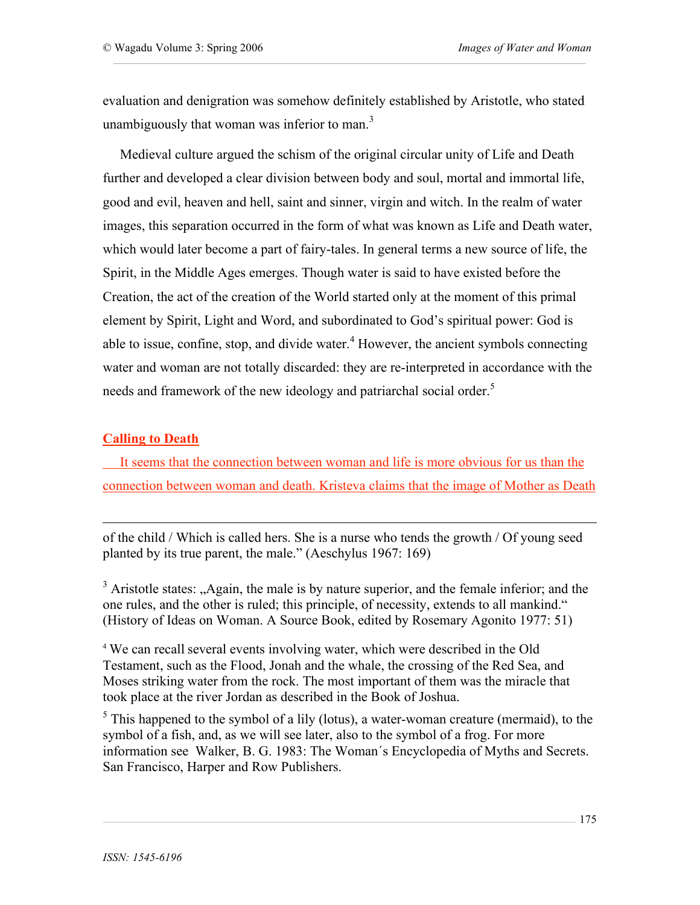evaluation and denigration was somehow definitely established by Aristotle, who stated unambiguously that woman was inferior to man. $3$ 

 Medieval culture argued the schism of the original circular unity of Life and Death further and developed a clear division between body and soul, mortal and immortal life, good and evil, heaven and hell, saint and sinner, virgin and witch. In the realm of water images, this separation occurred in the form of what was known as Life and Death water, which would later become a part of fairy-tales. In general terms a new source of life, the Spirit, in the Middle Ages emerges. Though water is said to have existed before the Creation, the act of the creation of the World started only at the moment of this primal element by Spirit, Light and Word, and subordinated to God's spiritual power: God is able to issue, confine, stop, and divide water. $4$  However, the ancient symbols connecting water and woman are not totally discarded: they are re-interpreted in accordance with the needs and framework of the new ideology and patriarchal social order.<sup>5</sup>

# **Calling to Death**

 $\overline{a}$ 

 It seems that the connection between woman and life is more obvious for us than the connection between woman and death. Kristeva claims that the image of Mother as Death

of the child / Which is called hers. She is a nurse who tends the growth / Of young seed planted by its true parent, the male." (Aeschylus 1967: 169)

 $3$  Aristotle states: "Again, the male is by nature superior, and the female inferior; and the one rules, and the other is ruled; this principle, of necessity, extends to all mankind." (History of Ideas on Woman. A Source Book, edited by Rosemary Agonito 1977: 51)

<sup>4</sup> We can recall several events involving water, which were described in the Old Testament, such as the Flood, Jonah and the whale, the crossing of the Red Sea, and Moses striking water from the rock. The most important of them was the miracle that took place at the river Jordan as described in the Book of Joshua.

 $<sup>5</sup>$  This happened to the symbol of a lily (lotus), a water-woman creature (mermaid), to the</sup> symbol of a fish, and, as we will see later, also to the symbol of a frog. For more information see Walker, B. G. 1983: The Woman´s Encyclopedia of Myths and Secrets. San Francisco, Harper and Row Publishers.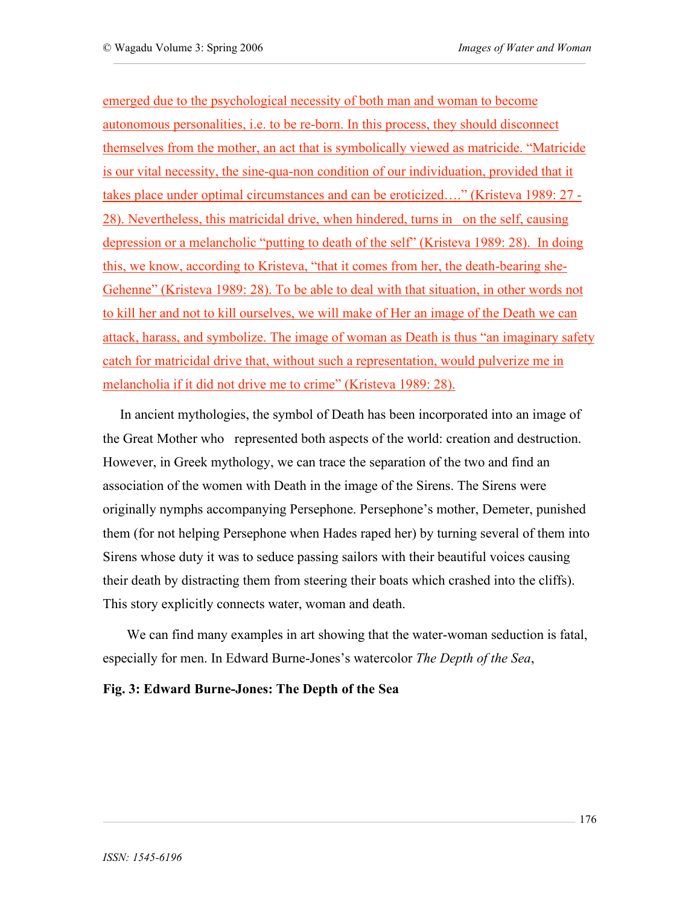emerged due to the psychological necessity of both man and woman to become autonomous personalities, i.e. to be re-born. In this process, they should disconnect themselves from the mother, an act that is symbolically viewed as matricide. "Matricide is our vital necessity, the sine-qua-non condition of our individuation, provided that it takes place under optimal circumstances and can be eroticized…." (Kristeva 1989: 27 - 28). Nevertheless, this matricidal drive, when hindered, turns in on the self, causing depression or a melancholic "putting to death of the self" (Kristeva 1989: 28). In doing this, we know, according to Kristeva, "that it comes from her, the death-bearing she-Gehenne" (Kristeva 1989: 28). To be able to deal with that situation, in other words not to kill her and not to kill ourselves, we will make of Her an image of the Death we can attack, harass, and symbolize. The image of woman as Death is thus "an imaginary safety catch for matricidal drive that, without such a representation, would pulverize me in melancholia if it did not drive me to crime" (Kristeva 1989: 28).

 In ancient mythologies, the symbol of Death has been incorporated into an image of the Great Mother who represented both aspects of the world: creation and destruction. However, in Greek mythology, we can trace the separation of the two and find an association of the women with Death in the image of the Sirens. The Sirens were originally nymphs accompanying Persephone. Persephone's mother, Demeter, punished them (for not helping Persephone when Hades raped her) by turning several of them into Sirens whose duty it was to seduce passing sailors with their beautiful voices causing their death by distracting them from steering their boats which crashed into the cliffs). This story explicitly connects water, woman and death.

 We can find many examples in art showing that the water-woman seduction is fatal, especially for men. In Edward Burne-Jones's watercolor *The Depth of the Sea*,

#### **Fig. 3: Edward Burne-Jones: The Depth of the Sea**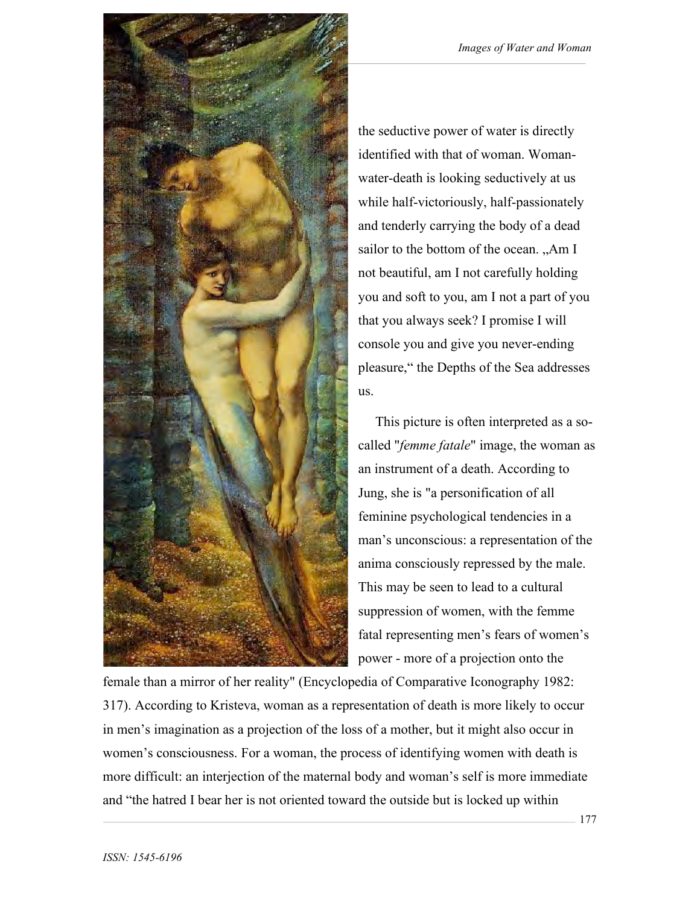

the seductive power of water is directly identified with that of woman. Womanwater-death is looking seductively at us while half-victoriously, half-passionately and tenderly carrying the body of a dead sailor to the bottom of the ocean. "Am I not beautiful, am I not carefully holding you and soft to you, am I not a part of you that you always seek? I promise I will console you and give you never-ending pleasure," the Depths of the Sea addresses us.

 This picture is often interpreted as a socalled "*femme fatale*" image, the woman as an instrument of a death. According to Jung, she is "a personification of all feminine psychological tendencies in a man's unconscious: a representation of the anima consciously repressed by the male. This may be seen to lead to a cultural suppression of women, with the femme fatal representing men's fears of women's power - more of a projection onto the

female than a mirror of her reality" (Encyclopedia of Comparative Iconography 1982: 317). According to Kristeva, woman as a representation of death is more likely to occur in men's imagination as a projection of the loss of a mother, but it might also occur in women's consciousness. For a woman, the process of identifying women with death is more difficult: an interjection of the maternal body and woman's self is more immediate and "the hatred I bear her is not oriented toward the outside but is locked up within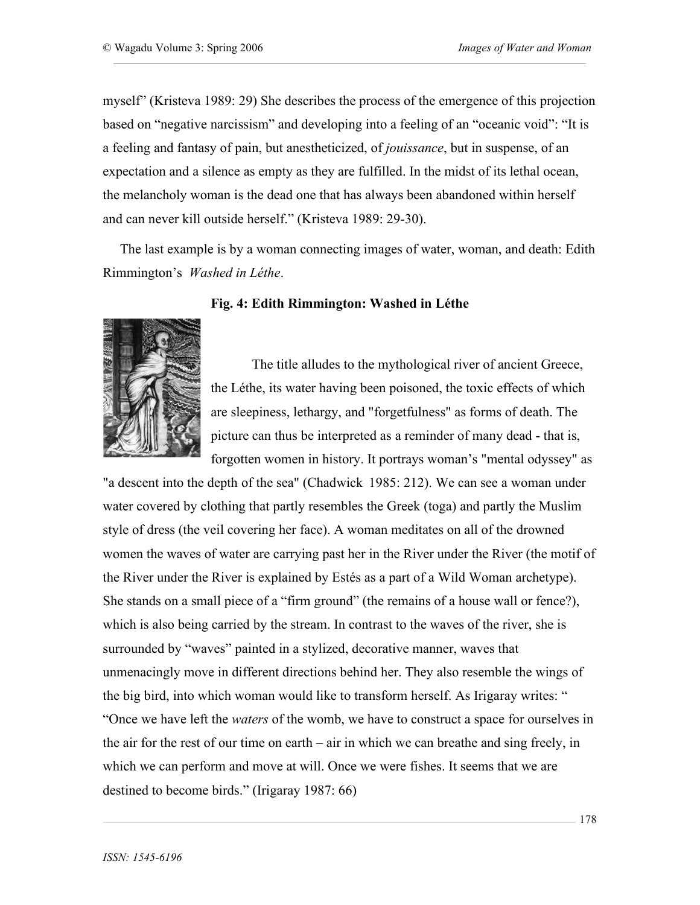myself" (Kristeva 1989: 29) She describes the process of the emergence of this projection based on "negative narcissism" and developing into a feeling of an "oceanic void": "It is a feeling and fantasy of pain, but anestheticized, of *jouissance*, but in suspense, of an expectation and a silence as empty as they are fulfilled. In the midst of its lethal ocean, the melancholy woman is the dead one that has always been abandoned within herself and can never kill outside herself." (Kristeva 1989: 29-30).

 The last example is by a woman connecting images of water, woman, and death: Edith Rimmington's *Washed in Léthe*.

# **Fig. 4: Edith Rimmington: Washed in Léthe**



The title alludes to the mythological river of ancient Greece, the Léthe, its water having been poisoned, the toxic effects of which are sleepiness, lethargy, and "forgetfulness" as forms of death. The picture can thus be interpreted as a reminder of many dead - that is, forgotten women in history. It portrays woman's "mental odyssey" as

"a descent into the depth of the sea" (Chadwick 1985: 212). We can see a woman under water covered by clothing that partly resembles the Greek (toga) and partly the Muslim style of dress (the veil covering her face). A woman meditates on all of the drowned women the waves of water are carrying past her in the River under the River (the motif of the River under the River is explained by Estés as a part of a Wild Woman archetype). She stands on a small piece of a "firm ground" (the remains of a house wall or fence?), which is also being carried by the stream. In contrast to the waves of the river, she is surrounded by "waves" painted in a stylized, decorative manner, waves that unmenacingly move in different directions behind her. They also resemble the wings of the big bird, into which woman would like to transform herself. As Irigaray writes: " "Once we have left the *waters* of the womb, we have to construct a space for ourselves in the air for the rest of our time on earth – air in which we can breathe and sing freely, in which we can perform and move at will. Once we were fishes. It seems that we are destined to become birds." (Irigaray 1987: 66)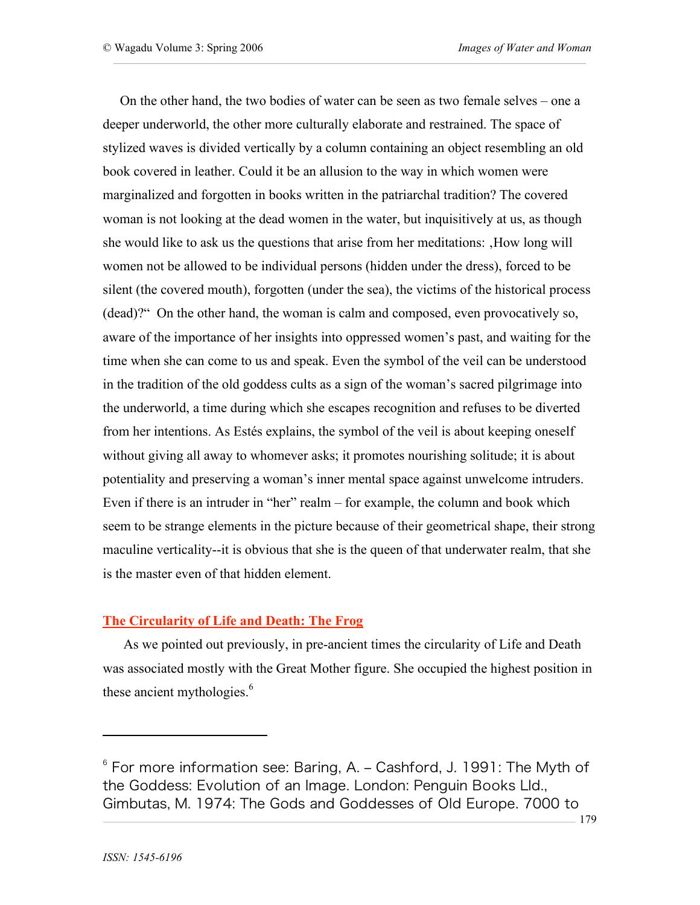On the other hand, the two bodies of water can be seen as two female selves – one a deeper underworld, the other more culturally elaborate and restrained. The space of stylized waves is divided vertically by a column containing an object resembling an old book covered in leather. Could it be an allusion to the way in which women were marginalized and forgotten in books written in the patriarchal tradition? The covered woman is not looking at the dead women in the water, but inquisitively at us, as though she would like to ask us the questions that arise from her meditations: , How long will women not be allowed to be individual persons (hidden under the dress), forced to be silent (the covered mouth), forgotten (under the sea), the victims of the historical process (dead)?" On the other hand, the woman is calm and composed, even provocatively so, aware of the importance of her insights into oppressed women's past, and waiting for the time when she can come to us and speak. Even the symbol of the veil can be understood in the tradition of the old goddess cults as a sign of the woman's sacred pilgrimage into the underworld, a time during which she escapes recognition and refuses to be diverted from her intentions. As Estés explains, the symbol of the veil is about keeping oneself without giving all away to whomever asks; it promotes nourishing solitude; it is about potentiality and preserving a woman's inner mental space against unwelcome intruders. Even if there is an intruder in "her" realm – for example, the column and book which seem to be strange elements in the picture because of their geometrical shape, their strong maculine verticality--it is obvious that she is the queen of that underwater realm, that she is the master even of that hidden element.

## **The Circularity of Life and Death: The Frog**

 As we pointed out previously, in pre-ancient times the circularity of Life and Death was associated mostly with the Great Mother figure. She occupied the highest position in these ancient mythologies.<sup>6</sup>

<sup>&</sup>lt;sup>6</sup> For more information see: Baring, A. – Cashford, J. 1991: The Myth of the Goddess: Evolution of an Image. London: Penguin Books Lld., Gimbutas, M. 1974: The Gods and Goddesses of Old Europe. 7000 to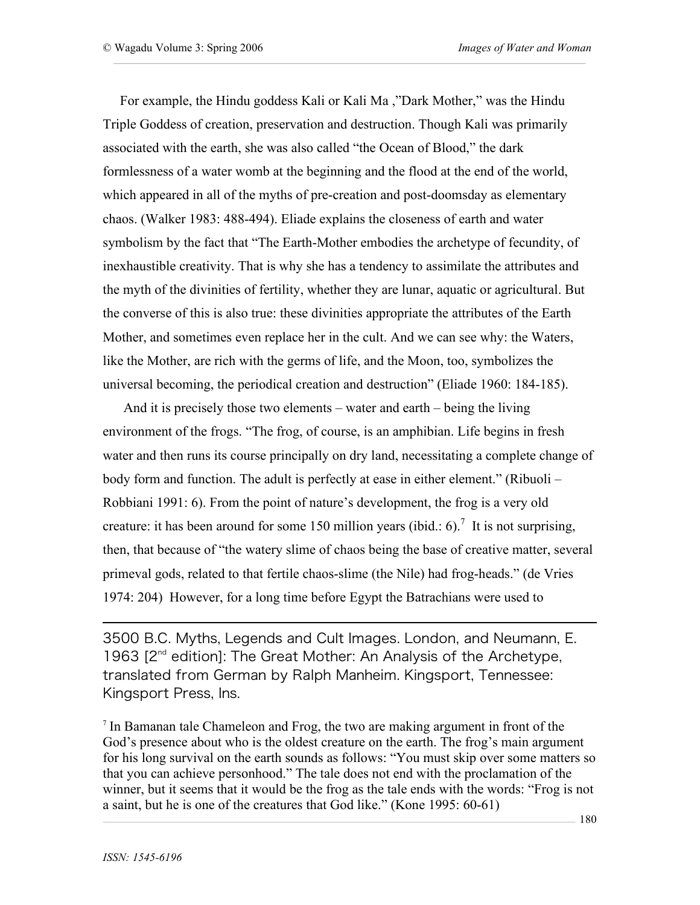For example, the Hindu goddess Kali or Kali Ma ,"Dark Mother," was the Hindu Triple Goddess of creation, preservation and destruction. Though Kali was primarily associated with the earth, she was also called "the Ocean of Blood," the dark formlessness of a water womb at the beginning and the flood at the end of the world, which appeared in all of the myths of pre-creation and post-doomsday as elementary chaos. (Walker 1983: 488-494). Eliade explains the closeness of earth and water symbolism by the fact that "The Earth-Mother embodies the archetype of fecundity, of inexhaustible creativity. That is why she has a tendency to assimilate the attributes and the myth of the divinities of fertility, whether they are lunar, aquatic or agricultural. But the converse of this is also true: these divinities appropriate the attributes of the Earth Mother, and sometimes even replace her in the cult. And we can see why: the Waters, like the Mother, are rich with the germs of life, and the Moon, too, symbolizes the universal becoming, the periodical creation and destruction" (Eliade 1960: 184-185).

 And it is precisely those two elements – water and earth – being the living environment of the frogs. "The frog, of course, is an amphibian. Life begins in fresh water and then runs its course principally on dry land, necessitating a complete change of body form and function. The adult is perfectly at ease in either element." (Ribuoli – Robbiani 1991: 6). From the point of nature's development, the frog is a very old creature: it has been around for some 150 million years (ibid.: 6).<sup>7</sup> It is not surprising, then, that because of "the watery slime of chaos being the base of creative matter, several primeval gods, related to that fertile chaos-slime (the Nile) had frog-heads." (de Vries 1974: 204) However, for a long time before Egypt the Batrachians were used to

3500 B.C. Myths, Legends and Cult Images. London, and Neumann, E. 1963  $[2^{nd}$  edition]: The Great Mother: An Analysis of the Archetype, translated from German by Ralph Manheim. Kingsport, Tennessee: Kingsport Press, Ins.

<sup>7</sup> In Bamanan tale Chameleon and Frog, the two are making argument in front of the God's presence about who is the oldest creature on the earth. The frog's main argument for his long survival on the earth sounds as follows: "You must skip over some matters so that you can achieve personhood." The tale does not end with the proclamation of the winner, but it seems that it would be the frog as the tale ends with the words: "Frog is not a saint, but he is one of the creatures that God like." (Kone 1995: 60-61)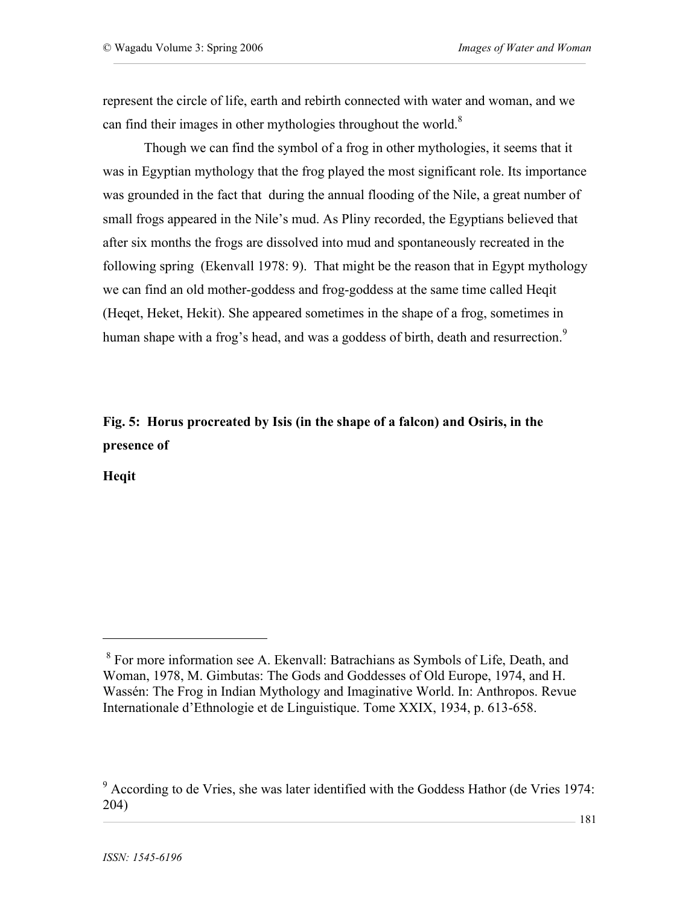represent the circle of life, earth and rebirth connected with water and woman, and we can find their images in other mythologies throughout the world.<sup>8</sup>

 Though we can find the symbol of a frog in other mythologies, it seems that it was in Egyptian mythology that the frog played the most significant role. Its importance was grounded in the fact that during the annual flooding of the Nile, a great number of small frogs appeared in the Nile's mud. As Pliny recorded, the Egyptians believed that after six months the frogs are dissolved into mud and spontaneously recreated in the following spring (Ekenvall 1978: 9). That might be the reason that in Egypt mythology we can find an old mother-goddess and frog-goddess at the same time called Heqit (Heqet, Heket, Hekit). She appeared sometimes in the shape of a frog, sometimes in human shape with a frog's head, and was a goddess of birth, death and resurrection.<sup>9</sup>

# **Fig. 5: Horus procreated by Isis (in the shape of a falcon) and Osiris, in the presence of**

**Heqit**

<sup>&</sup>lt;sup>8</sup> For more information see A. Ekenvall: Batrachians as Symbols of Life, Death, and Woman, 1978, M. Gimbutas: The Gods and Goddesses of Old Europe, 1974, and H. Wassén: The Frog in Indian Mythology and Imaginative World. In: Anthropos. Revue Internationale d'Ethnologie et de Linguistique. Tome XXIX, 1934, p. 613-658.

 $9$  According to de Vries, she was later identified with the Goddess Hathor (de Vries 1974: 204)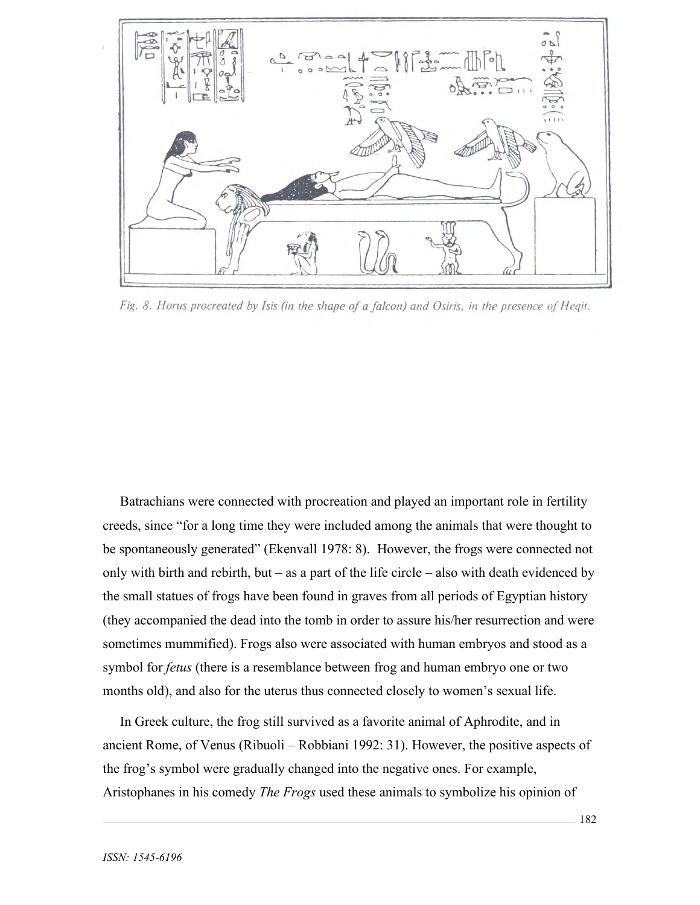

Fig. 8. Horus procreated by Isis (in the shape of a falcon) and Osiris, in the presence of Heqit.

 Batrachians were connected with procreation and played an important role in fertility creeds, since "for a long time they were included among the animals that were thought to be spontaneously generated" (Ekenvall 1978: 8). However, the frogs were connected not only with birth and rebirth, but – as a part of the life circle – also with death evidenced by the small statues of frogs have been found in graves from all periods of Egyptian history (they accompanied the dead into the tomb in order to assure his/her resurrection and were sometimes mummified). Frogs also were associated with human embryos and stood as a symbol for *fetus* (there is a resemblance between frog and human embryo one or two months old), and also for the uterus thus connected closely to women's sexual life.

 In Greek culture, the frog still survived as a favorite animal of Aphrodite, and in ancient Rome, of Venus (Ribuoli – Robbiani 1992: 31). However, the positive aspects of the frog's symbol were gradually changed into the negative ones. For example, Aristophanes in his comedy *The Frogs* used these animals to symbolize his opinion of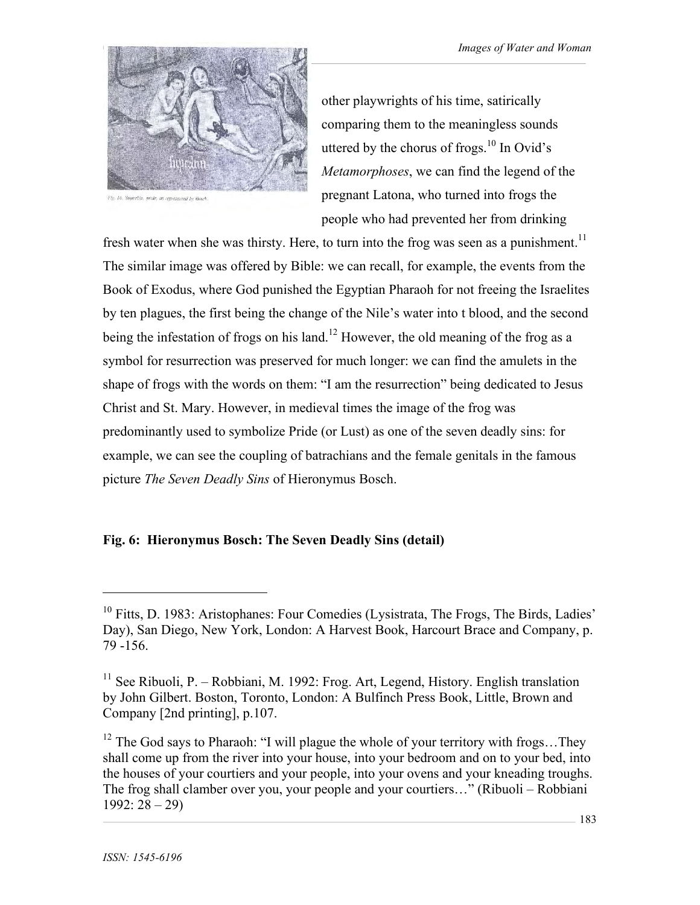

other playwrights of his time, satirically comparing them to the meaningless sounds uttered by the chorus of frogs.<sup>10</sup> In Ovid's *Metamorphoses*, we can find the legend of the pregnant Latona, who turned into frogs the people who had prevented her from drinking

fresh water when she was thirsty. Here, to turn into the frog was seen as a punishment.<sup>11</sup> The similar image was offered by Bible: we can recall, for example, the events from the Book of Exodus, where God punished the Egyptian Pharaoh for not freeing the Israelites by ten plagues, the first being the change of the Nile's water into t blood, and the second being the infestation of frogs on his land.<sup>12</sup> However, the old meaning of the frog as a symbol for resurrection was preserved for much longer: we can find the amulets in the shape of frogs with the words on them: "I am the resurrection" being dedicated to Jesus Christ and St. Mary. However, in medieval times the image of the frog was predominantly used to symbolize Pride (or Lust) as one of the seven deadly sins: for example, we can see the coupling of batrachians and the female genitals in the famous picture *The Seven Deadly Sins* of Hieronymus Bosch.

## **Fig. 6: Hieronymus Bosch: The Seven Deadly Sins (detail)**

<sup>&</sup>lt;sup>10</sup> Fitts, D. 1983: Aristophanes: Four Comedies (Lysistrata, The Frogs, The Birds, Ladies' Day), San Diego, New York, London: A Harvest Book, Harcourt Brace and Company, p. 79 -156.

<sup>&</sup>lt;sup>11</sup> See Ribuoli, P. – Robbiani, M. 1992: Frog. Art, Legend, History. English translation by John Gilbert. Boston, Toronto, London: A Bulfinch Press Book, Little, Brown and Company [2nd printing], p.107.

 $12$  The God says to Pharaoh: "I will plague the whole of your territory with frogs...They shall come up from the river into your house, into your bedroom and on to your bed, into the houses of your courtiers and your people, into your ovens and your kneading troughs. The frog shall clamber over you, your people and your courtiers…" (Ribuoli – Robbiani 1992: 28 – 29)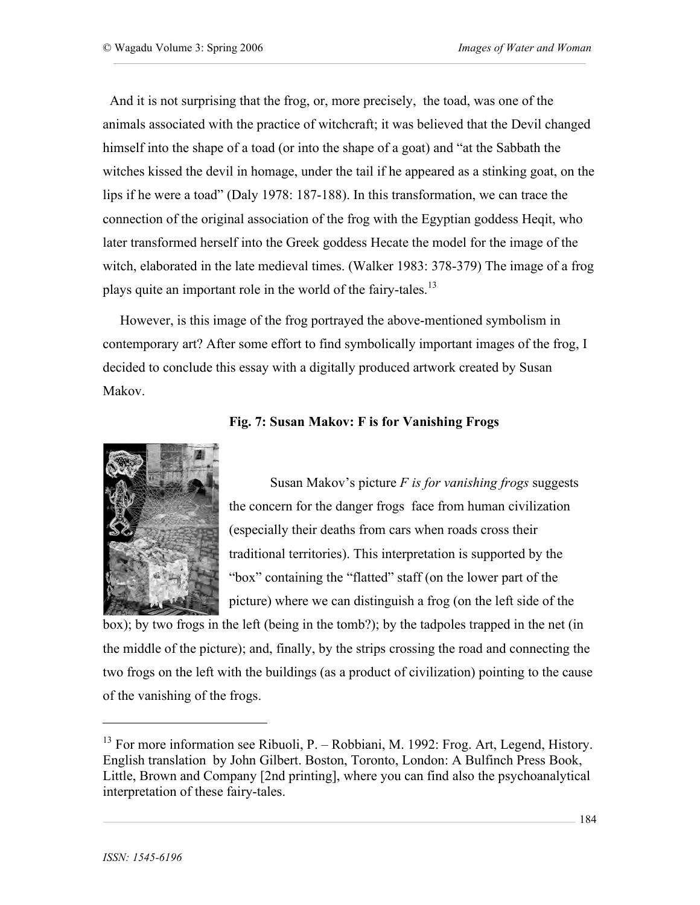And it is not surprising that the frog, or, more precisely, the toad, was one of the animals associated with the practice of witchcraft; it was believed that the Devil changed himself into the shape of a toad (or into the shape of a goat) and "at the Sabbath the witches kissed the devil in homage, under the tail if he appeared as a stinking goat, on the lips if he were a toad" (Daly 1978: 187-188). In this transformation, we can trace the connection of the original association of the frog with the Egyptian goddess Heqit, who later transformed herself into the Greek goddess Hecate the model for the image of the witch, elaborated in the late medieval times. (Walker 1983: 378-379) The image of a frog plays quite an important role in the world of the fairy-tales.<sup>13</sup>

 However, is this image of the frog portrayed the above-mentioned symbolism in contemporary art? After some effort to find symbolically important images of the frog, I decided to conclude this essay with a digitally produced artwork created by Susan Makov.

## **Fig. 7: Susan Makov: F is for Vanishing Frogs**



Susan Makov's picture *F is for vanishing frogs* suggests the concern for the danger frogs face from human civilization (especially their deaths from cars when roads cross their traditional territories). This interpretation is supported by the "box" containing the "flatted" staff (on the lower part of the picture) where we can distinguish a frog (on the left side of the

box); by two frogs in the left (being in the tomb?); by the tadpoles trapped in the net (in the middle of the picture); and, finally, by the strips crossing the road and connecting the two frogs on the left with the buildings (as a product of civilization) pointing to the cause of the vanishing of the frogs.

 $^{13}$  For more information see Ribuoli, P. – Robbiani, M. 1992: Frog. Art, Legend, History. English translation by John Gilbert. Boston, Toronto, London: A Bulfinch Press Book, Little, Brown and Company [2nd printing], where you can find also the psychoanalytical interpretation of these fairy-tales.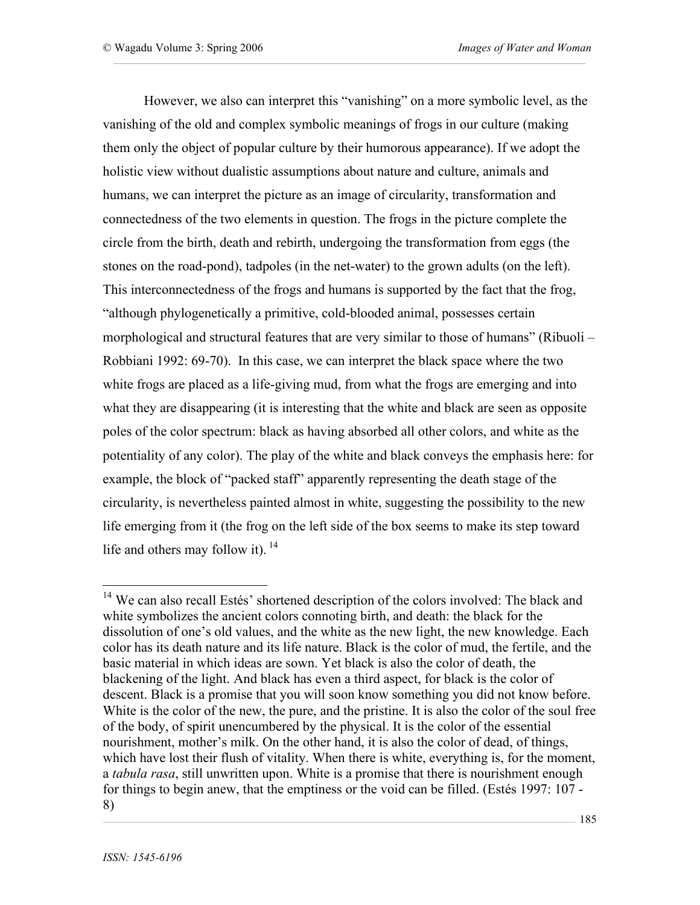However, we also can interpret this "vanishing" on a more symbolic level, as the vanishing of the old and complex symbolic meanings of frogs in our culture (making them only the object of popular culture by their humorous appearance). If we adopt the holistic view without dualistic assumptions about nature and culture, animals and humans, we can interpret the picture as an image of circularity, transformation and connectedness of the two elements in question. The frogs in the picture complete the circle from the birth, death and rebirth, undergoing the transformation from eggs (the stones on the road-pond), tadpoles (in the net-water) to the grown adults (on the left). This interconnectedness of the frogs and humans is supported by the fact that the frog, "although phylogenetically a primitive, cold-blooded animal, possesses certain morphological and structural features that are very similar to those of humans" (Ribuoli – Robbiani 1992: 69-70). In this case, we can interpret the black space where the two white frogs are placed as a life-giving mud, from what the frogs are emerging and into what they are disappearing (it is interesting that the white and black are seen as opposite poles of the color spectrum: black as having absorbed all other colors, and white as the potentiality of any color). The play of the white and black conveys the emphasis here: for example, the block of "packed staff" apparently representing the death stage of the circularity, is nevertheless painted almost in white, suggesting the possibility to the new life emerging from it (the frog on the left side of the box seems to make its step toward life and others may follow it).  $14$ 

<sup>&</sup>lt;sup>14</sup> We can also recall Estés' shortened description of the colors involved: The black and white symbolizes the ancient colors connoting birth, and death: the black for the dissolution of one's old values, and the white as the new light, the new knowledge. Each color has its death nature and its life nature. Black is the color of mud, the fertile, and the basic material in which ideas are sown. Yet black is also the color of death, the blackening of the light. And black has even a third aspect, for black is the color of descent. Black is a promise that you will soon know something you did not know before. White is the color of the new, the pure, and the pristine. It is also the color of the soul free of the body, of spirit unencumbered by the physical. It is the color of the essential nourishment, mother's milk. On the other hand, it is also the color of dead, of things, which have lost their flush of vitality. When there is white, everything is, for the moment, a *tabula rasa*, still unwritten upon. White is a promise that there is nourishment enough for things to begin anew, that the emptiness or the void can be filled. (Estés 1997: 107 - 8)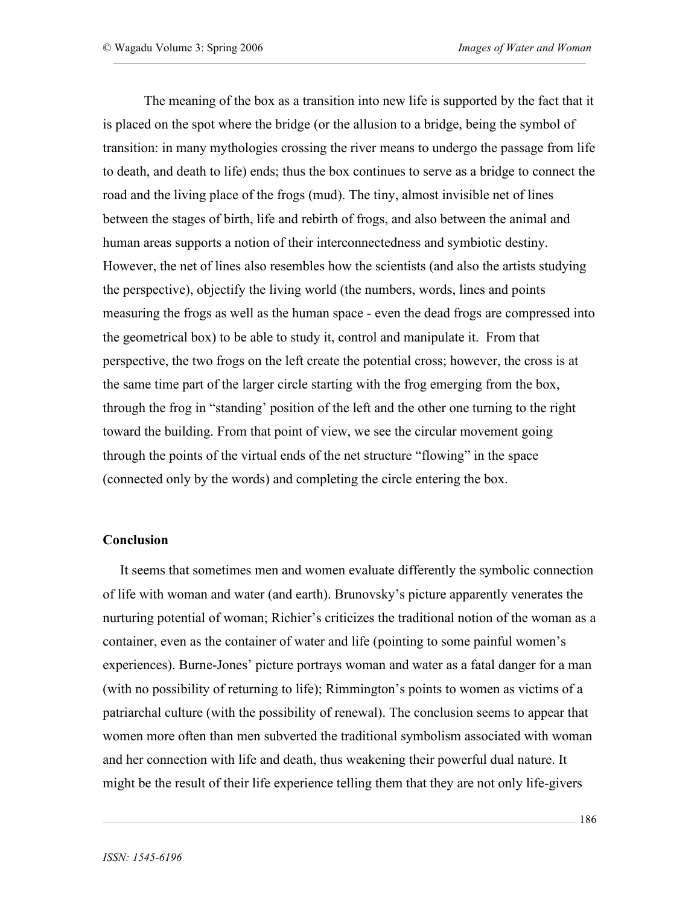The meaning of the box as a transition into new life is supported by the fact that it is placed on the spot where the bridge (or the allusion to a bridge, being the symbol of transition: in many mythologies crossing the river means to undergo the passage from life to death, and death to life) ends; thus the box continues to serve as a bridge to connect the road and the living place of the frogs (mud). The tiny, almost invisible net of lines between the stages of birth, life and rebirth of frogs, and also between the animal and human areas supports a notion of their interconnectedness and symbiotic destiny. However, the net of lines also resembles how the scientists (and also the artists studying the perspective), objectify the living world (the numbers, words, lines and points measuring the frogs as well as the human space - even the dead frogs are compressed into the geometrical box) to be able to study it, control and manipulate it. From that perspective, the two frogs on the left create the potential cross; however, the cross is at the same time part of the larger circle starting with the frog emerging from the box, through the frog in "standing' position of the left and the other one turning to the right toward the building. From that point of view, we see the circular movement going through the points of the virtual ends of the net structure "flowing" in the space (connected only by the words) and completing the circle entering the box.

#### **Conclusion**

 It seems that sometimes men and women evaluate differently the symbolic connection of life with woman and water (and earth). Brunovsky's picture apparently venerates the nurturing potential of woman; Richier's criticizes the traditional notion of the woman as a container, even as the container of water and life (pointing to some painful women's experiences). Burne-Jones' picture portrays woman and water as a fatal danger for a man (with no possibility of returning to life); Rimmington's points to women as victims of a patriarchal culture (with the possibility of renewal). The conclusion seems to appear that women more often than men subverted the traditional symbolism associated with woman and her connection with life and death, thus weakening their powerful dual nature. It might be the result of their life experience telling them that they are not only life-givers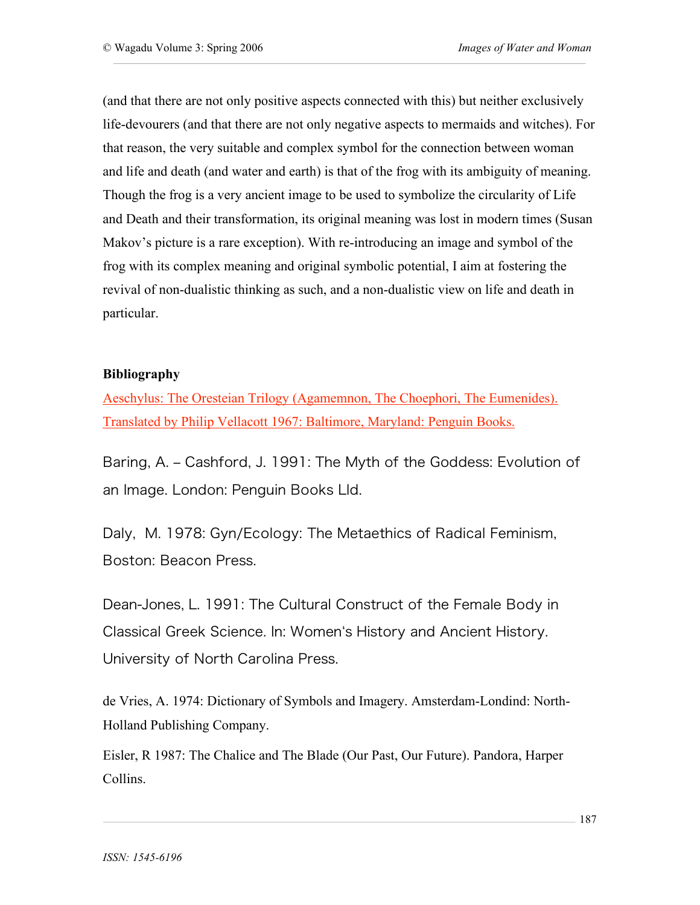(and that there are not only positive aspects connected with this) but neither exclusively life-devourers (and that there are not only negative aspects to mermaids and witches). For that reason, the very suitable and complex symbol for the connection between woman and life and death (and water and earth) is that of the frog with its ambiguity of meaning. Though the frog is a very ancient image to be used to symbolize the circularity of Life and Death and their transformation, its original meaning was lost in modern times (Susan Makov's picture is a rare exception). With re-introducing an image and symbol of the frog with its complex meaning and original symbolic potential, I aim at fostering the revival of non-dualistic thinking as such, and a non-dualistic view on life and death in particular.

# **Bibliography**

Aeschylus: The Oresteian Trilogy (Agamemnon, The Choephori, The Eumenides). Translated by Philip Vellacott 1967: Baltimore, Maryland: Penguin Books.

Baring, A. – Cashford, J. 1991: The Myth of the Goddess: Evolution of an Image. London: Penguin Books Lld.

Daly, M. 1978: Gyn/Ecology: The Metaethics of Radical Feminism, Boston: Beacon Press.

Dean-Jones, L. 1991: The Cultural Construct of the Female Body in Classical Greek Science. In: Womenʻs History and Ancient History. University of North Carolina Press.

de Vries, A. 1974: Dictionary of Symbols and Imagery. Amsterdam-Londind: North-Holland Publishing Company.

Eisler, R 1987: The Chalice and The Blade (Our Past, Our Future). Pandora, Harper Collins.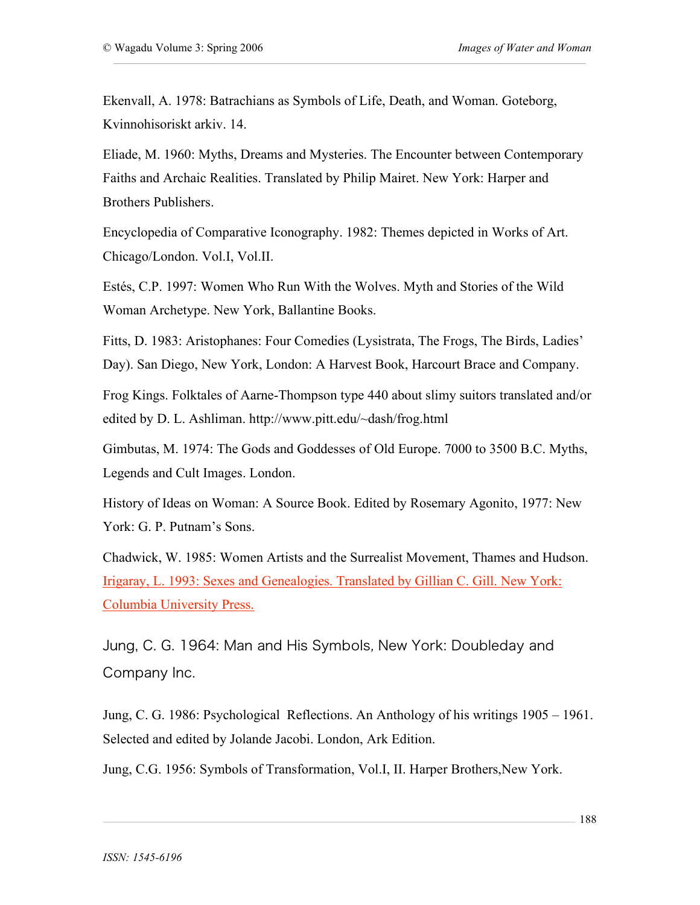Ekenvall, A. 1978: Batrachians as Symbols of Life, Death, and Woman. Goteborg, Kvinnohisoriskt arkiv. 14.

Eliade, M. 1960: Myths, Dreams and Mysteries. The Encounter between Contemporary Faiths and Archaic Realities. Translated by Philip Mairet. New York: Harper and Brothers Publishers.

Encyclopedia of Comparative Iconography. 1982: Themes depicted in Works of Art. Chicago/London. Vol.I, Vol.II.

Estés, C.P. 1997: Women Who Run With the Wolves. Myth and Stories of the Wild Woman Archetype. New York, Ballantine Books.

Fitts, D. 1983: Aristophanes: Four Comedies (Lysistrata, The Frogs, The Birds, Ladies' Day). San Diego, New York, London: A Harvest Book, Harcourt Brace and Company.

Frog Kings. Folktales of Aarne-Thompson type 440 about slimy suitors translated and/or edited by D. L. Ashliman. http://www.pitt.edu/~dash/frog.html

Gimbutas, M. 1974: The Gods and Goddesses of Old Europe. 7000 to 3500 B.C. Myths, Legends and Cult Images. London.

History of Ideas on Woman: A Source Book. Edited by Rosemary Agonito, 1977: New York: G. P. Putnam's Sons.

Chadwick, W. 1985: Women Artists and the Surrealist Movement, Thames and Hudson. Irigaray, L. 1993: Sexes and Genealogies. Translated by Gillian C. Gill. New York: Columbia University Press.

Jung, C. G. 1964: Man and His Symbols, New York: Doubleday and Company Inc.

Jung, C. G. 1986: Psychological Reflections. An Anthology of his writings 1905 – 1961. Selected and edited by Jolande Jacobi. London, Ark Edition.

Jung, C.G. 1956: Symbols of Transformation, Vol.I, II. Harper Brothers,New York.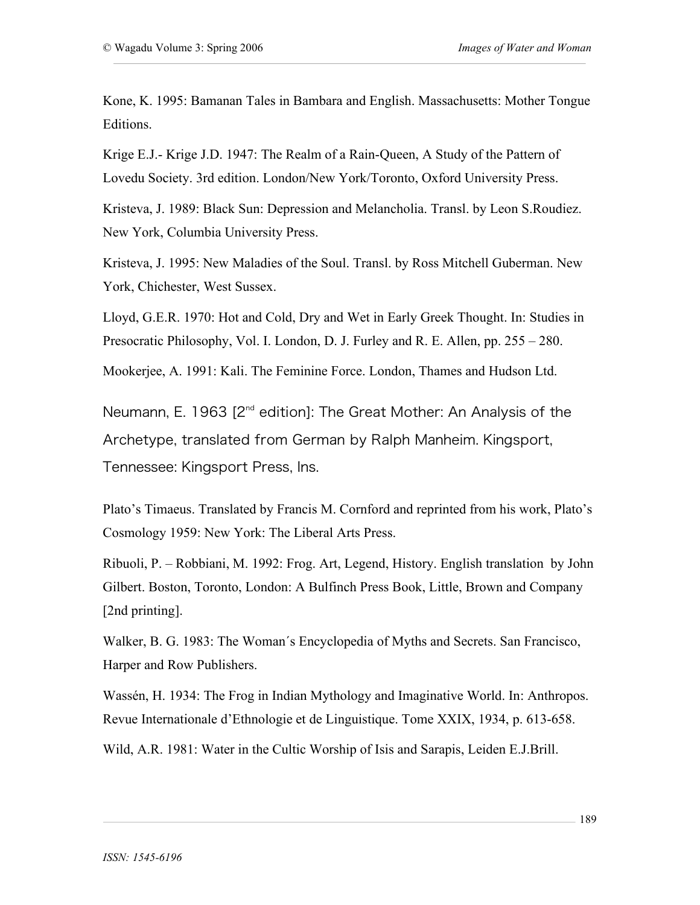Kone, K. 1995: Bamanan Tales in Bambara and English. Massachusetts: Mother Tongue Editions.

Krige E.J.- Krige J.D. 1947: The Realm of a Rain-Queen, A Study of the Pattern of Lovedu Society. 3rd edition. London/New York/Toronto, Oxford University Press.

Kristeva, J. 1989: Black Sun: Depression and Melancholia. Transl. by Leon S.Roudiez. New York, Columbia University Press.

Kristeva, J. 1995: New Maladies of the Soul. Transl. by Ross Mitchell Guberman. New York, Chichester, West Sussex.

Lloyd, G.E.R. 1970: Hot and Cold, Dry and Wet in Early Greek Thought. In: Studies in Presocratic Philosophy, Vol. I. London, D. J. Furley and R. E. Allen, pp. 255 – 280.

Mookerjee, A. 1991: Kali. The Feminine Force. London, Thames and Hudson Ltd.

Neumann, E. 1963 [2<sup>nd</sup> edition]: The Great Mother: An Analysis of the Archetype, translated from German by Ralph Manheim. Kingsport, Tennessee: Kingsport Press, Ins.

Plato's Timaeus. Translated by Francis M. Cornford and reprinted from his work, Plato's Cosmology 1959: New York: The Liberal Arts Press.

Ribuoli, P. – Robbiani, M. 1992: Frog. Art, Legend, History. English translation by John Gilbert. Boston, Toronto, London: A Bulfinch Press Book, Little, Brown and Company [2nd printing].

Walker, B. G. 1983: The Woman´s Encyclopedia of Myths and Secrets. San Francisco, Harper and Row Publishers.

Wassén, H. 1934: The Frog in Indian Mythology and Imaginative World. In: Anthropos. Revue Internationale d'Ethnologie et de Linguistique. Tome XXIX, 1934, p. 613-658.

Wild, A.R. 1981: Water in the Cultic Worship of Isis and Sarapis, Leiden E.J.Brill.